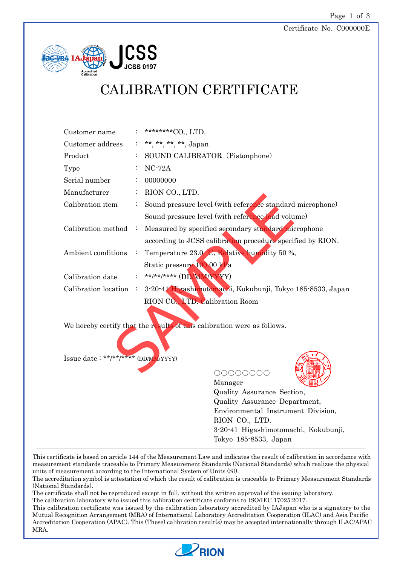#### Certificate No. C000000E



# CALIBRATION CERTIFICATE

| Customer name                        | ********CO., LTD.                                                       |
|--------------------------------------|-------------------------------------------------------------------------|
| Customer address                     | **, **, **, **, Japan                                                   |
| Product                              | SOUND CALIBRATOR (Pistonphone)                                          |
| Type                                 | $NC-72A$                                                                |
| Serial number                        | 00000000                                                                |
| Manufacturer                         | RION CO., LTD.                                                          |
| Calibration item                     | Sound pressure level (with reference standard microphone)               |
|                                      | Sound pressure level (with reference load volume)                       |
| Calibration method                   | Measured by specified secondary standard microphone                     |
|                                      | according to JCSS calibration procedure specified by RION.              |
| Ambient conditions                   | Temperature 23.0 C, Relative humidity 50 %,                             |
|                                      | Static pressure 100.00 kPa                                              |
| Calibration date                     | **/**/**** (DD/MM/YYY)                                                  |
| Calibration location                 | 3-20-41 Higashimotomachi, Kokubunji, Tokyo 185-8533, Japan              |
|                                      | RION CO. LTD. Calibration Room                                          |
|                                      |                                                                         |
|                                      | We hereby certify that the results of this calibration were as follows. |
|                                      |                                                                         |
|                                      |                                                                         |
| Issue date: **/**/***** (DD/MM/YYYY) |                                                                         |
|                                      |                                                                         |

○○○○○○○○



Manager Quality Assurance Section, Quality Assurance Department, Environmental Instrument Division, RION CO., LTD. 3-20-41 Higashimotomachi, Kokubunji, Tokyo 185-8533, Japan

This certificate is based on article 144 of the Measurement Law and indicates the result of calibration in accordance with measurement standards traceable to Primary Measurement Standards (National Standards) which realizes the physical units of measurement according to the International System of Units (SI).

The accreditation symbol is attestation of which the result of calibration is traceable to Primary Measurement Standards (National Standards).

The certificate shall not be reproduced except in full, without the written approval of the issuing laboratory.

The calibration laboratory who issued this calibration certificate conforms to ISO/IEC 17025:2017.

This calibration certificate was issued by the calibration laboratory accredited by IAJapan who is a signatory to the Mutual Recognition Arrangement (MRA) of International Laboratory Accreditation Cooperation (ILAC) and Asia Pacific Accreditation Cooperation (APAC). This (These) calibration result(s) may be accepted internationally through ILAC/APAC MRA.

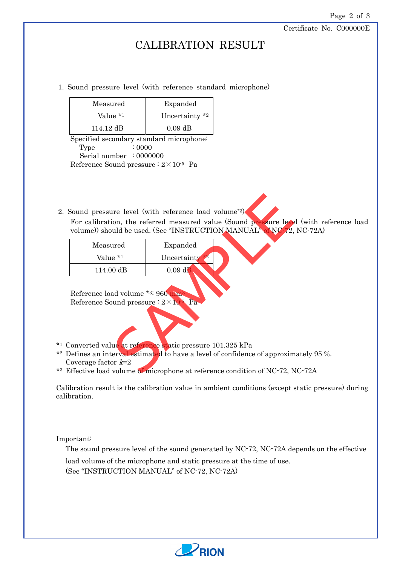Certificate No. C000000E

### CALIBRATION RESULT

#### 1. Sound pressure level (with reference standard microphone)

| Measured            | Expanded                     |  |
|---------------------|------------------------------|--|
| Value *1            | Uncertainty $*$ <sup>2</sup> |  |
| $114.12 \text{ dB}$ | $0.09$ dB                    |  |

Specified secondary standard microphone: Type : 0000 Serial number : 0000000 Reference Sound pressure  $: 2 \times 10^{-5}$  Pa

2. Sound pressure level (with reference load volume\*3)

For calibration, the referred measured value (Sound pressure level (with reference load volume)) should be used. (See "INSTRUCTION MANUAL" of NC-72, NC-72A)

|                                                                                     | Sound pressure level (with reference load volume*3)                                                                                    |  |
|-------------------------------------------------------------------------------------|----------------------------------------------------------------------------------------------------------------------------------------|--|
|                                                                                     | For calibration, the referred measured value (Sound pressure level (<br>volume)) should be used. (See "INSTRUCTION MANUAL" of NC/2, No |  |
| Measured                                                                            | Expanded                                                                                                                               |  |
| Value *1                                                                            | Uncertainty                                                                                                                            |  |
| 114.00 dB                                                                           | $0.09$ dB                                                                                                                              |  |
| Reference load volume *3: 960 mm<br>Reference Sound pressure : $2 \times 10^{5}$ Pa |                                                                                                                                        |  |
|                                                                                     | Converted value at reference static pressure 101.325 kPa                                                                               |  |
| Coverage factor $k=2$                                                               | ) efines an interval estimated to have a level of confidence of approximate                                                            |  |
|                                                                                     | Effective load volume of microphone at reference condition of NC-72, NC                                                                |  |

- \*1 Converted value at reference static pressure 101.325 kPa
- \*2 Defines an interval estimated to have a level of confidence of approximately 95 %. Coverage factor  $k=2$
- \*3 Effective load volume of microphone at reference condition of NC-72, NC-72A

Calibration result is the calibration value in ambient conditions (except static pressure) during calibration.

Important:

The sound pressure level of the sound generated by NC-72, NC-72A depends on the effective

load volume of the microphone and static pressure at the time of use.

(See "INSTRUCTION MANUAL" of NC-72, NC-72A)